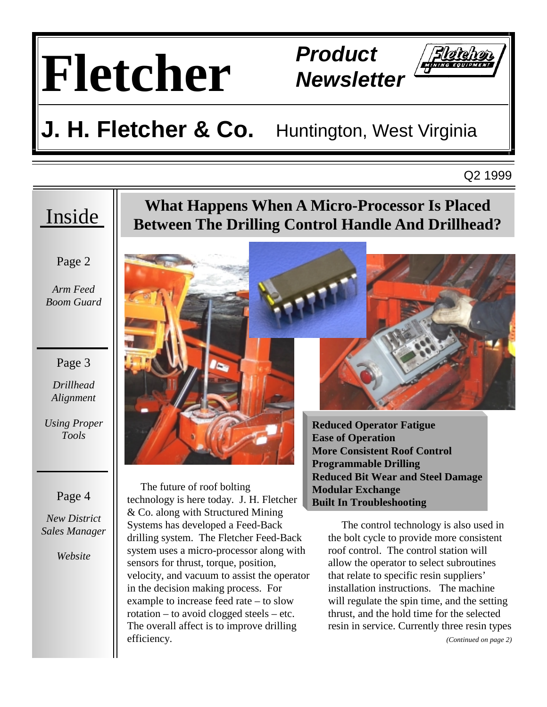

**Newsletter** 



# **J. H. Fletcher & Co.** Huntington, West Virginia

Q2 1999

### Inside

Page 2

*Arm Feed Boom Guard* 

#### Page 3

*Drillhead Alignment* 

*Using Proper Tools* 

#### Page 4

*New District Sales Manager* 

*Website* 

### **What Happens When A Micro-Processor Is Placed Between The Drilling Control Handle And Drillhead?**



 The future of roof bolting technology is here today. J. H. Fletcher & Co. along with Structured Mining Systems has developed a Feed-Back drilling system. The Fletcher Feed-Back system uses a micro-processor along with sensors for thrust, torque, position, velocity, and vacuum to assist the operator in the decision making process. For example to increase feed rate – to slow rotation – to avoid clogged steels – etc. The overall affect is to improve drilling efficiency.



**Reduced Operator Fatigue Ease of Operation More Consistent Roof Control Programmable Drilling Reduced Bit Wear and Steel Damage Modular Exchange Built In Troubleshooting**

 The control technology is also used in the bolt cycle to provide more consistent roof control. The control station will allow the operator to select subroutines that relate to specific resin suppliers' installation instructions. The machine will regulate the spin time, and the setting thrust, and the hold time for the selected resin in service. Currently three resin types

*(Continued on page 2)*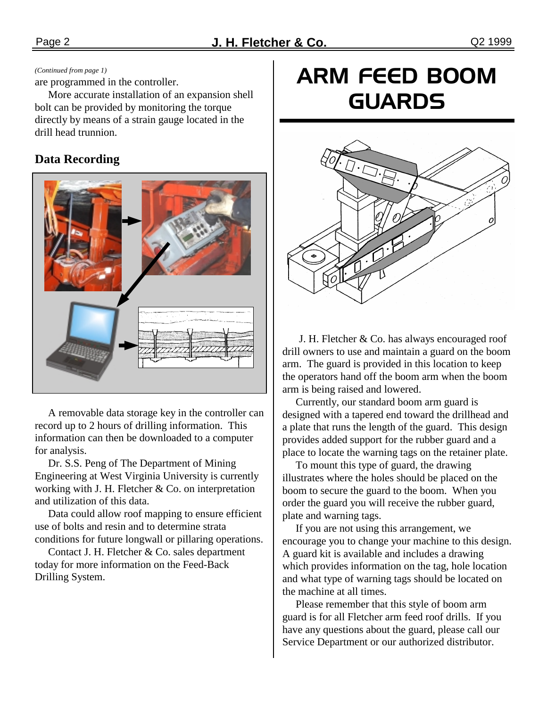#### *(Continued from page 1)*

are programmed in the controller.

 More accurate installation of an expansion shell bolt can be provided by monitoring the torque directly by means of a strain gauge located in the drill head trunnion.

#### **Data Recording**



 A removable data storage key in the controller can record up to 2 hours of drilling information. This information can then be downloaded to a computer for analysis.

 Dr. S.S. Peng of The Department of Mining Engineering at West Virginia University is currently working with J. H. Fletcher & Co. on interpretation and utilization of this data.

 Data could allow roof mapping to ensure efficient use of bolts and resin and to determine strata conditions for future longwall or pillaring operations.

 Contact J. H. Fletcher & Co. sales department today for more information on the Feed-Back Drilling System.

## ARM FEED BOOM **GUARDS**



J. H. Fletcher & Co. has always encouraged roof drill owners to use and maintain a guard on the boom arm. The guard is provided in this location to keep the operators hand off the boom arm when the boom arm is being raised and lowered.

 Currently, our standard boom arm guard is designed with a tapered end toward the drillhead and a plate that runs the length of the guard. This design provides added support for the rubber guard and a place to locate the warning tags on the retainer plate.

 To mount this type of guard, the drawing illustrates where the holes should be placed on the boom to secure the guard to the boom. When you order the guard you will receive the rubber guard, plate and warning tags.

 If you are not using this arrangement, we encourage you to change your machine to this design. A guard kit is available and includes a drawing which provides information on the tag, hole location and what type of warning tags should be located on the machine at all times.

 Please remember that this style of boom arm guard is for all Fletcher arm feed roof drills. If you have any questions about the guard, please call our Service Department or our authorized distributor.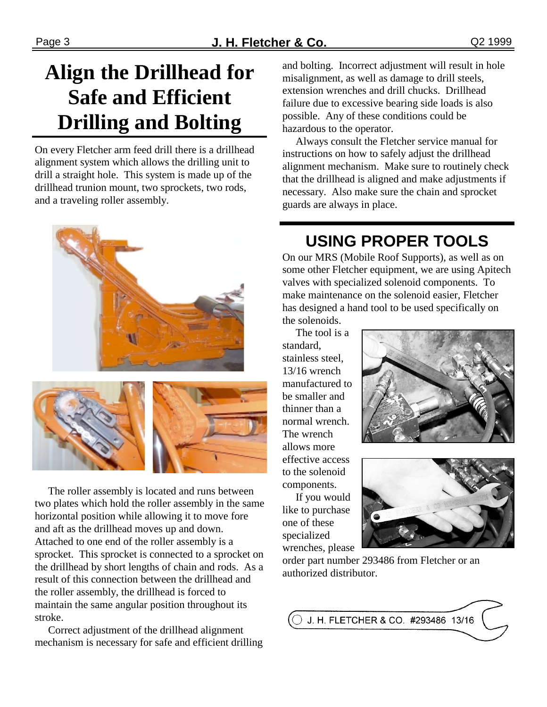## **Align the Drillhead for Safe and Efficient Drilling and Bolting**

On every Fletcher arm feed drill there is a drillhead alignment system which allows the drilling unit to drill a straight hole. This system is made up of the drillhead trunion mount, two sprockets, two rods, and a traveling roller assembly.



 The roller assembly is located and runs between two plates which hold the roller assembly in the same horizontal position while allowing it to move fore and aft as the drillhead moves up and down. Attached to one end of the roller assembly is a sprocket. This sprocket is connected to a sprocket on the drillhead by short lengths of chain and rods. As a result of this connection between the drillhead and the roller assembly, the drillhead is forced to maintain the same angular position throughout its stroke.

 Correct adjustment of the drillhead alignment mechanism is necessary for safe and efficient drilling and bolting. Incorrect adjustment will result in hole misalignment, as well as damage to drill steels, extension wrenches and drill chucks. Drillhead failure due to excessive bearing side loads is also possible. Any of these conditions could be hazardous to the operator.

 Always consult the Fletcher service manual for instructions on how to safely adjust the drillhead alignment mechanism. Make sure to routinely check that the drillhead is aligned and make adjustments if necessary. Also make sure the chain and sprocket guards are always in place.

## **USING PROPER TOOLS**

On our MRS (Mobile Roof Supports), as well as on some other Fletcher equipment, we are using Apitech valves with specialized solenoid components. To make maintenance on the solenoid easier, Fletcher has designed a hand tool to be used specifically on the solenoids.

 The tool is a standard, stainless steel, 13/16 wrench manufactured to be smaller and thinner than a normal wrench. The wrench allows more effective access to the solenoid components.

 If you would like to purchase one of these specialized wrenches, please





order part number 293486 from Fletcher or an authorized distributor.